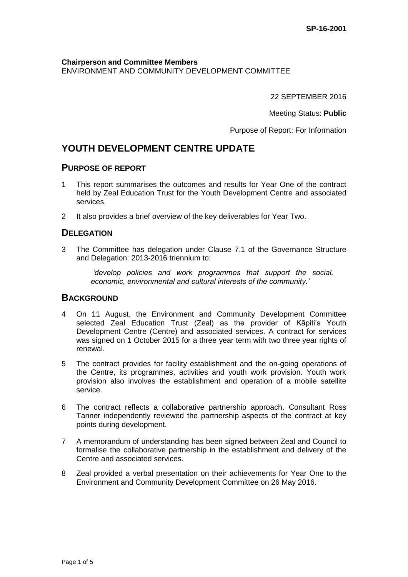**Chairperson and Committee Members** ENVIRONMENT AND COMMUNITY DEVELOPMENT COMMITTEE

22 SEPTEMBER 2016

Meeting Status: **Public**

Purpose of Report: For Information

## **YOUTH DEVELOPMENT CENTRE UPDATE**

#### **PURPOSE OF REPORT**

- 1 This report summarises the outcomes and results for Year One of the contract held by Zeal Education Trust for the Youth Development Centre and associated services.
- 2 It also provides a brief overview of the key deliverables for Year Two.

### **DELEGATION**

3 The Committee has delegation under Clause 7.1 of the Governance Structure and Delegation: 2013-2016 triennium to:

> *'develop policies and work programmes that support the social, economic, environmental and cultural interests of the community.'*

#### **BACKGROUND**

- 4 On 11 August, the Environment and Community Development Committee selected Zeal Education Trust (Zeal) as the provider of Kāpiti's Youth Development Centre (Centre) and associated services. A contract for services was signed on 1 October 2015 for a three year term with two three year rights of renewal.
- 5 The contract provides for facility establishment and the on-going operations of the Centre, its programmes, activities and youth work provision. Youth work provision also involves the establishment and operation of a mobile satellite service.
- 6 The contract reflects a collaborative partnership approach. Consultant Ross Tanner independently reviewed the partnership aspects of the contract at key points during development.
- 7 A memorandum of understanding has been signed between Zeal and Council to formalise the collaborative partnership in the establishment and delivery of the Centre and associated services.
- 8 Zeal provided a verbal presentation on their achievements for Year One to the Environment and Community Development Committee on 26 May 2016.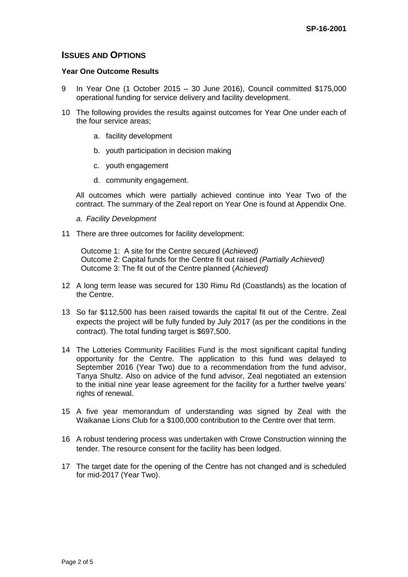### **ISSUES AND OPTIONS**

#### **Year One Outcome Results**

- 9 In Year One (1 October 2015 30 June 2016), Council committed \$175,000 operational funding for service delivery and facility development.
- 10 The following provides the results against outcomes for Year One under each of the four service areas;
	- a. facility development
	- b. youth participation in decision making
	- c. youth engagement
	- d. community engagement.

All outcomes which were partially achieved continue into Year Two of the contract. The summary of the Zeal report on Year One is found at Appendix One.

- *a. Facility Development*
- 11 There are three outcomes for facility development:

Outcome 1: A site for the Centre secured (*Achieved)* Outcome 2: Capital funds for the Centre fit out raised *(Partially Achieved)* Outcome 3: The fit out of the Centre planned (*Achieved)*

- 12 A long term lease was secured for 130 Rimu Rd (Coastlands) as the location of the Centre.
- 13 So far \$112,500 has been raised towards the capital fit out of the Centre. Zeal expects the project will be fully funded by July 2017 (as per the conditions in the contract). The total funding target is \$697,500.
- 14 The Lotteries Community Facilities Fund is the most significant capital funding opportunity for the Centre. The application to this fund was delayed to September 2016 (Year Two) due to a recommendation from the fund advisor, Tanya Shultz. Also on advice of the fund advisor, Zeal negotiated an extension to the initial nine year lease agreement for the facility for a further twelve years' rights of renewal.
- 15 A five year memorandum of understanding was signed by Zeal with the Waikanae Lions Club for a \$100,000 contribution to the Centre over that term.
- 16 A robust tendering process was undertaken with Crowe Construction winning the tender. The resource consent for the facility has been lodged.
- 17 The target date for the opening of the Centre has not changed and is scheduled for mid-2017 (Year Two).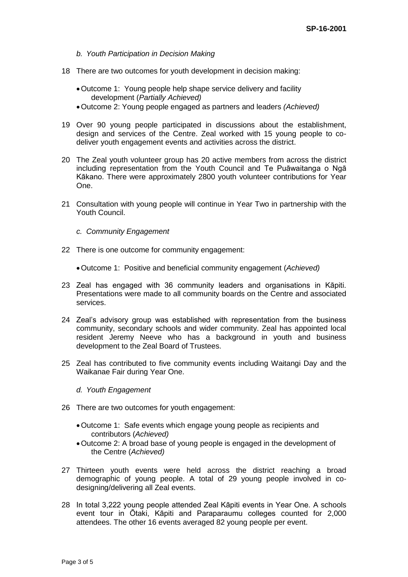- *b. Youth Participation in Decision Making*
- 18 There are two outcomes for youth development in decision making:
	- Outcome 1: Young people help shape service delivery and facility development (*Partially Achieved)*
	- Outcome 2: Young people engaged as partners and leaders *(Achieved)*
- 19 Over 90 young people participated in discussions about the establishment, design and services of the Centre. Zeal worked with 15 young people to codeliver youth engagement events and activities across the district.
- 20 The Zeal youth volunteer group has 20 active members from across the district including representation from the Youth Council and Te Puāwaitanga o Ngā Kākano. There were approximately 2800 youth volunteer contributions for Year One.
- 21 Consultation with young people will continue in Year Two in partnership with the Youth Council.
	- *c. Community Engagement*
- 22 There is one outcome for community engagement:
	- Outcome 1: Positive and beneficial community engagement (*Achieved)*
- 23 Zeal has engaged with 36 community leaders and organisations in Kāpiti. Presentations were made to all community boards on the Centre and associated services.
- 24 Zeal's advisory group was established with representation from the business community, secondary schools and wider community. Zeal has appointed local resident Jeremy Neeve who has a background in youth and business development to the Zeal Board of Trustees.
- 25 Zeal has contributed to five community events including Waitangi Day and the Waikanae Fair during Year One.
	- *d. Youth Engagement*
- 26 There are two outcomes for youth engagement:
	- Outcome 1: Safe events which engage young people as recipients and contributors (*Achieved)*
	- Outcome 2: A broad base of young people is engaged in the development of the Centre (*Achieved)*
- 27 Thirteen youth events were held across the district reaching a broad demographic of young people. A total of 29 young people involved in codesigning/delivering all Zeal events.
- 28 In total 3,222 young people attended Zeal Kāpiti events in Year One. A schools event tour in Ōtaki, Kāpiti and Paraparaumu colleges counted for 2,000 attendees. The other 16 events averaged 82 young people per event.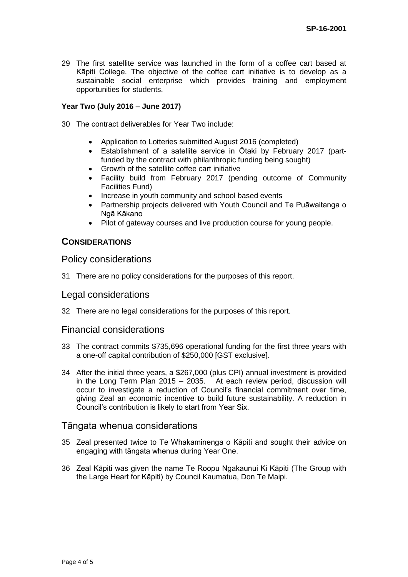29 The first satellite service was launched in the form of a coffee cart based at Kāpiti College. The objective of the coffee cart initiative is to develop as a sustainable social enterprise which provides training and employment opportunities for students.

#### **Year Two (July 2016 – June 2017)**

- 30 The contract deliverables for Year Two include:
	- Application to Lotteries submitted August 2016 (completed)
	- Establishment of a satellite service in Ōtaki by February 2017 (partfunded by the contract with philanthropic funding being sought)
	- Growth of the satellite coffee cart initiative
	- Facility build from February 2017 (pending outcome of Community Facilities Fund)
	- Increase in youth community and school based events
	- Partnership projects delivered with Youth Council and Te Puāwaitanga o Ngā Kākano
	- Pilot of gateway courses and live production course for young people.

#### **CONSIDERATIONS**

#### Policy considerations

31 There are no policy considerations for the purposes of this report.

#### Legal considerations

32 There are no legal considerations for the purposes of this report.

#### Financial considerations

- 33 The contract commits \$735,696 operational funding for the first three years with a one-off capital contribution of \$250,000 [GST exclusive].
- 34 After the initial three years, a \$267,000 (plus CPI) annual investment is provided in the Long Term Plan 2015 – 2035. At each review period, discussion will occur to investigate a reduction of Council's financial commitment over time, giving Zeal an economic incentive to build future sustainability. A reduction in Council's contribution is likely to start from Year Six.

#### Tāngata whenua considerations

- 35 Zeal presented twice to Te Whakaminenga o Kāpiti and sought their advice on engaging with tāngata whenua during Year One.
- 36 Zeal Kāpiti was given the name Te Roopu Ngakaunui Ki Kāpiti (The Group with the Large Heart for Kāpiti) by Council Kaumatua, Don Te Maipi.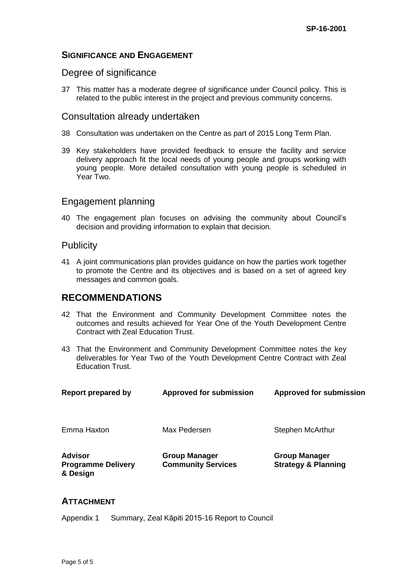### **SIGNIFICANCE AND ENGAGEMENT**

### Degree of significance

37 This matter has a moderate degree of significance under Council policy. This is related to the public interest in the project and previous community concerns.

### Consultation already undertaken

- 38 Consultation was undertaken on the Centre as part of 2015 Long Term Plan.
- 39 Key stakeholders have provided feedback to ensure the facility and service delivery approach fit the local needs of young people and groups working with young people. More detailed consultation with young people is scheduled in Year Two.

### Engagement planning

40 The engagement plan focuses on advising the community about Council's decision and providing information to explain that decision.

### **Publicity**

41 A joint communications plan provides guidance on how the parties work together to promote the Centre and its objectives and is based on a set of agreed key messages and common goals.

## **RECOMMENDATIONS**

- 42 That the Environment and Community Development Committee notes the outcomes and results achieved for Year One of the Youth Development Centre Contract with Zeal Education Trust.
- 43 That the Environment and Community Development Committee notes the key deliverables for Year Two of the Youth Development Centre Contract with Zeal Education Trust.

| <b>Report prepared by</b>                               | <b>Approved for submission</b>                    | <b>Approved for submission</b>                         |
|---------------------------------------------------------|---------------------------------------------------|--------------------------------------------------------|
| Emma Haxton                                             | Max Pedersen                                      | Stephen McArthur                                       |
| <b>Advisor</b><br><b>Programme Delivery</b><br>& Design | <b>Group Manager</b><br><b>Community Services</b> | <b>Group Manager</b><br><b>Strategy &amp; Planning</b> |

### **ATTACHMENT**

Appendix 1 Summary, Zeal Kāpiti 2015-16 Report to Council